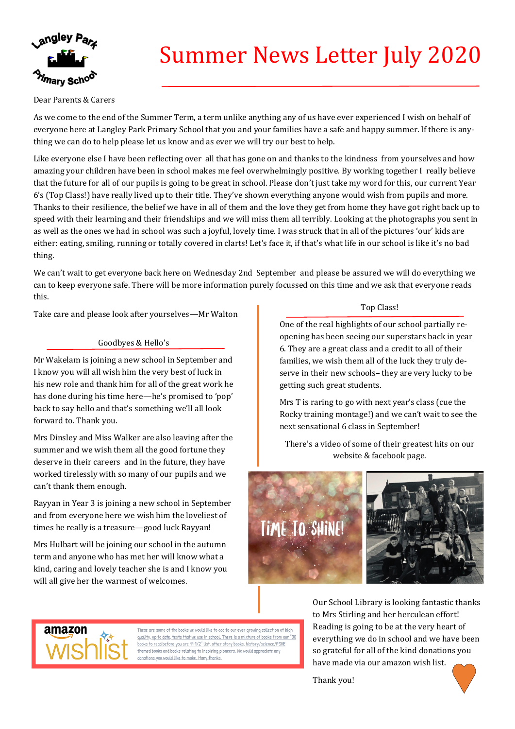

# Summer News Letter July 2020

## Dear Parents & Carers

As we come to the end of the Summer Term, a term unlike anything any of us have ever experienced I wish on behalf of everyone here at Langley Park Primary School that you and your families have a safe and happy summer. If there is anything we can do to help please let us know and as ever we will try our best to help.

Like everyone else I have been reflecting over all that has gone on and thanks to the kindness from yourselves and how amazing your children have been in school makes me feel overwhelmingly positive. By working together I really believe that the future for all of our pupils is going to be great in school. Please don't just take my word for this, our current Year 6's (Top Class!) have really lived up to their title. They've shown everything anyone would wish from pupils and more. Thanks to their resilience, the belief we have in all of them and the love they get from home they have got right back up to speed with their learning and their friendships and we will miss them all terribly. Looking at the photographs you sent in as well as the ones we had in school was such a joyful, lovely time. I was struck that in all of the pictures 'our' kids are either: eating, smiling, running or totally covered in clarts! Let's face it, if that's what life in our school is like it's no bad thing.

We can't wait to get everyone back here on Wednesday 2nd September and please be assured we will do everything we can to keep everyone safe. There will be more information purely focussed on this time and we ask that everyone reads this.

Take care and please look after yourselves—Mr Walton

### Goodbyes & Hello's

Mr Wakelam is joining a new school in September and I know you will all wish him the very best of luck in his new role and thank him for all of the great work he has done during his time here—he's promised to 'pop' back to say hello and that's something we'll all look forward to. Thank you.

Mrs Dinsley and Miss Walker are also leaving after the summer and we wish them all the good fortune they deserve in their careers and in the future, they have worked tirelessly with so many of our pupils and we can't thank them enough.

Rayyan in Year 3 is joining a new school in September and from everyone here we wish him the loveliest of times he really is a treasure—good luck Rayyan!

Mrs Hulbart will be joining our school in the autumn term and anyone who has met her will know what a kind, caring and lovely teacher she is and I know you will all give her the warmest of welcomes.

Top Class!

One of the real highlights of our school partially reopening has been seeing our superstars back in year 6. They are a great class and a credit to all of their families, we wish them all of the luck they truly deserve in their new schools– they are very lucky to be getting such great students.

Mrs T is raring to go with next year's class (cue the Rocky training montage!) and we can't wait to see the next sensational 6 class in September!

There's a video of some of their greatest hits on our website & facebook page.





These are some of the books we would like to add to our ever growing collection of high quality, up to date, texts that we use in school. There is a mixture of books from our "30 books to read before you are 11 1/2" list, other story books, history/science/PSHE themed books and books relating to inspiring pioneers. We would appreciate any donations you would like to make. Many thanks.

Our School Library is looking fantastic thanks to Mrs Stirling and her herculean effort! Reading is going to be at the very heart of everything we do in school and we have been so grateful for all of the kind donations you have made via our amazon wish list.

Thank you!